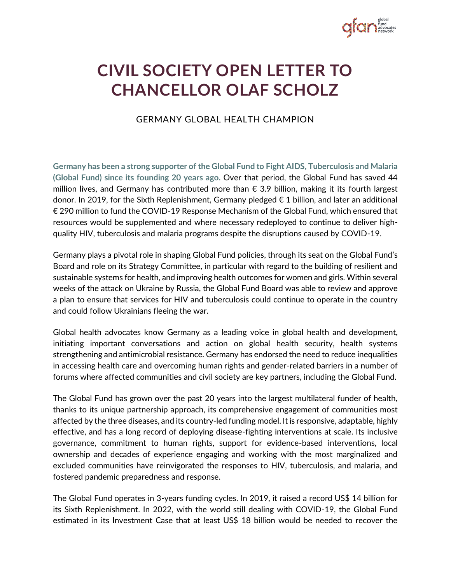

## **CIVIL SOCIETY OPEN LETTER TO CHANCELLOR OLAF SCHOLZ**

GERMANY GLOBAL HEALTH CHAMPION

**Germany has been a strong supporter of the Global Fund to Fight AIDS, Tuberculosis and Malaria (Global Fund) since its founding 20 years ago.** Over that period, the Global Fund has saved 44 million lives, and Germany has contributed more than € 3.9 billion, making it its fourth largest donor. In 2019, for the Sixth Replenishment, Germany pledged  $\epsilon$  1 billion, and later an additional € 290 million to fund the COVID-19 Response Mechanism of the Global Fund, which ensured that resources would be supplemented and where necessary redeployed to continue to deliver highquality HIV, tuberculosis and malaria programs despite the disruptions caused by COVID-19.

Germany plays a pivotal role in shaping Global Fund policies, through its seat on the Global Fund's Board and role on its Strategy Committee, in particular with regard to the building of resilient and sustainable systems for health, and improving health outcomes for women and girls. Within several weeks of the attack on Ukraine by Russia, the Global Fund Board was able to review and approve a plan to ensure that services for HIV and tuberculosis could continue to operate in the country and could follow Ukrainians fleeing the war.

Global health advocates know Germany as a leading voice in global health and development, initiating important conversations and action on global health security, health systems strengthening and antimicrobial resistance. Germany has endorsed the need to reduce inequalities in accessing health care and overcoming human rights and gender-related barriers in a number of forums where affected communities and civil society are key partners, including the Global Fund.

The Global Fund has grown over the past 20 years into the largest multilateral funder of health, thanks to its unique partnership approach, its comprehensive engagement of communities most affected by the three diseases, and its country-led funding model. It is responsive, adaptable, highly effective, and has a long record of deploying disease-fighting interventions at scale. Its inclusive governance, commitment to human rights, support for evidence-based interventions, local ownership and decades of experience engaging and working with the most marginalized and excluded communities have reinvigorated the responses to HIV, tuberculosis, and malaria, and fostered pandemic preparedness and response.

The Global Fund operates in 3-years funding cycles. In 2019, it raised a record US\$ 14 billion for its Sixth Replenishment. In 2022, with the world still dealing with COVID-19, the Global Fund estimated in its Investment Case that at least US\$ 18 billion would be needed to recover the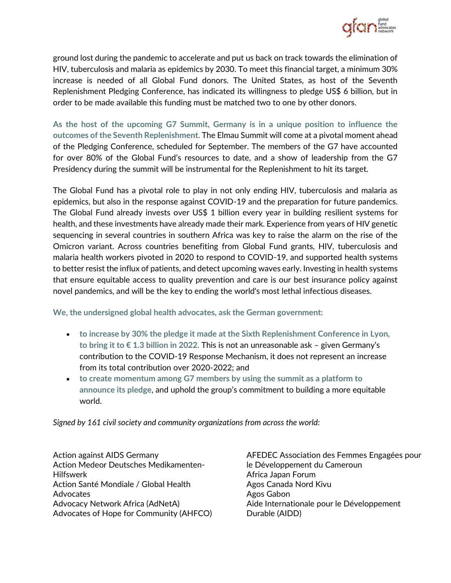

ground lost during the pandemic to accelerate and put us back on track towards the elimination of HIV, tuberculosis and malaria as epidemics by 2030. To meet this financial target, a minimum 30% increase is needed of all Global Fund donors. The United States, as host of the Seventh Replenishment Pledging Conference, has indicated its willingness to pledge US\$ 6 billion, but in order to be made available this funding must be matched two to one by other donors.

**As the host of the upcoming G7 Summit, Germany is in a unique position to influence the outcomes of the Seventh Replenishment.** The Elmau Summit will come at a pivotal moment ahead of the Pledging Conference, scheduled for September. The members of the G7 have accounted for over 80% of the Global Fund's resources to date, and a show of leadership from the G7 Presidency during the summit will be instrumental for the Replenishment to hit its target.

The Global Fund has a pivotal role to play in not only ending HIV, tuberculosis and malaria as epidemics, but also in the response against COVID-19 and the preparation for future pandemics. The Global Fund already invests over US\$ 1 billion every year in building resilient systems for health, and these investments have already made their mark. Experience from years of HIV genetic sequencing in several countries in southern Africa was key to raise the alarm on the rise of the Omicron variant. Across countries benefiting from Global Fund grants, HIV, tuberculosis and malaria health workers pivoted in 2020 to respond to COVID-19, and supported health systems to better resist the influx of patients, and detect upcoming waves early. Investing in health systems that ensure equitable access to quality prevention and care is our best insurance policy against novel pandemics, and will be the key to ending the world's most lethal infectious diseases.

**We, the undersigned global health advocates, ask the German government:** 

- **to increase by 30% the pledge it made at the Sixth Replenishment Conference in Lyon, to bring it to € 1.3 billion in 2022.** This is not an unreasonable ask – given Germany's contribution to the COVID-19 Response Mechanism, it does not represent an increase from its total contribution over 2020-2022; and
- **to create momentum among G7 members by using the summit as a platform to announce its pledge**, and uphold the group's commitment to building a more equitable world.

*Signed by 161 civil society and community organizations from across the world:*

Action against AIDS Germany Action Medeor Deutsches Medikamenten-Hilfswerk Action Santé Mondiale / Global Health Advocates Advocacy Network Africa (AdNetA) Advocates of Hope for Community (AHFCO) AFEDEC Association des Femmes Engagées pour le Développement du Cameroun Africa Japan Forum Agos Canada Nord Kivu Agos Gabon Aide Internationale pour le Développement Durable (AIDD)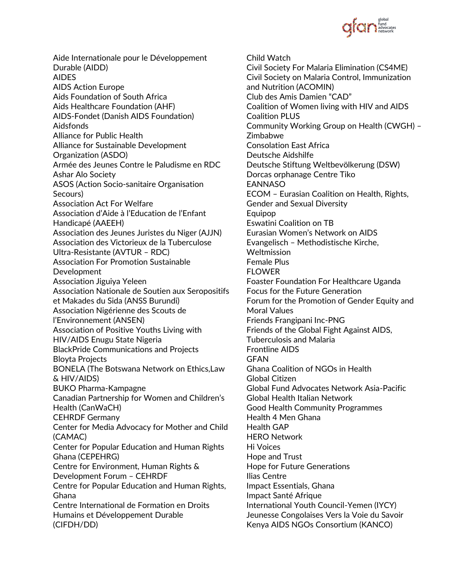

Aide Internationale pour le Développement Durable (AIDD) AIDES AIDS Action Europe Aids Foundation of South Africa Aids Healthcare Foundation (AHF) AIDS-Fondet (Danish AIDS Foundation) Aidsfonds Alliance for Public Health Alliance for Sustainable Development Organization (ASDO) Armée des Jeunes Contre le Paludisme en RDC Ashar Alo Society ASOS (Action Socio-sanitaire Organisation Secours) Association Act For Welfare Association d'Aide à l'Education de l'Enfant Handicapé (AAEEH) Association des Jeunes Juristes du Niger (AJJN) Association des Victorieux de la Tuberculose Ultra-Resistante (AVTUR – RDC) Association For Promotion Sustainable Development Association Jiguiya Yeleen Association Nationale de Soutien aux Seropositifs et Makades du Sida (ANSS Burundi) Association Nigérienne des Scouts de l'Environnement (ANSEN) Association of Positive Youths Living with HIV/AIDS Enugu State Nigeria BlackPride Communications and Projects Bloyta Projects BONELA (The Botswana Network on Ethics,Law & HIV/AIDS) BUKO Pharma-Kampagne Canadian Partnership for Women and Children's Health (CanWaCH) CEHRDF Germany Center for Media Advocacy for Mother and Child (CAMAC) Center for Popular Education and Human Rights Ghana (CEPEHRG) Centre for Environment, Human Rights & Development Forum – CEHRDF Centre for Popular Education and Human Rights, Ghana Centre International de Formation en Droits Humains et Développement Durable (CIFDH/DD)

Child Watch Civil Society For Malaria Elimination (CS4ME) Civil Society on Malaria Control, Immunization and Nutrition (ACOMIN) Club des Amis Damien "CAD" Coalition of Women living with HIV and AIDS Coalition PLUS Community Working Group on Health (CWGH) – Zimbabwe Consolation East Africa Deutsche Aidshilfe Deutsche Stiftung Weltbevölkerung (DSW) Dorcas orphanage Centre Tiko EANNASO ECOM – Eurasian Coalition on Health, Rights, Gender and Sexual Diversity **Equipop** Eswatini Coalition on TB Eurasian Women's Network on AIDS Evangelisch – Methodistische Kirche, **Weltmission** Female Plus FLOWER Foaster Foundation For Healthcare Uganda Focus for the Future Generation Forum for the Promotion of Gender Equity and Moral Values Friends Frangipani Inc-PNG Friends of the Global Fight Against AIDS, Tuberculosis and Malaria Frontline AIDS GFAN Ghana Coalition of NGOs in Health Global Citizen Global Fund Advocates Network Asia-Pacific Global Health Italian Network Good Health Community Programmes Health 4 Men Ghana Health GAP HERO Network Hi Voices Hope and Trust Hope for Future Generations Ilias Centre Impact Essentials, Ghana Impact Santé Afrique International Youth Council-Yemen (IYCY) Jeunesse Congolaises Vers la Voie du Savoir Kenya AIDS NGOs Consortium (KANCO)